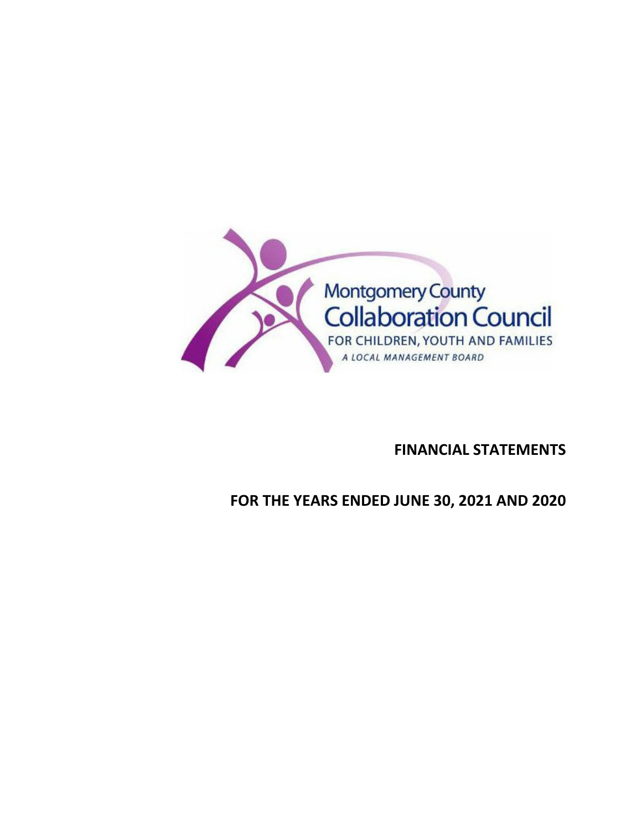

**FINANCIAL STATEMENTS**

# **FOR THE YEARS ENDED JUNE 30, 2021 AND 2020**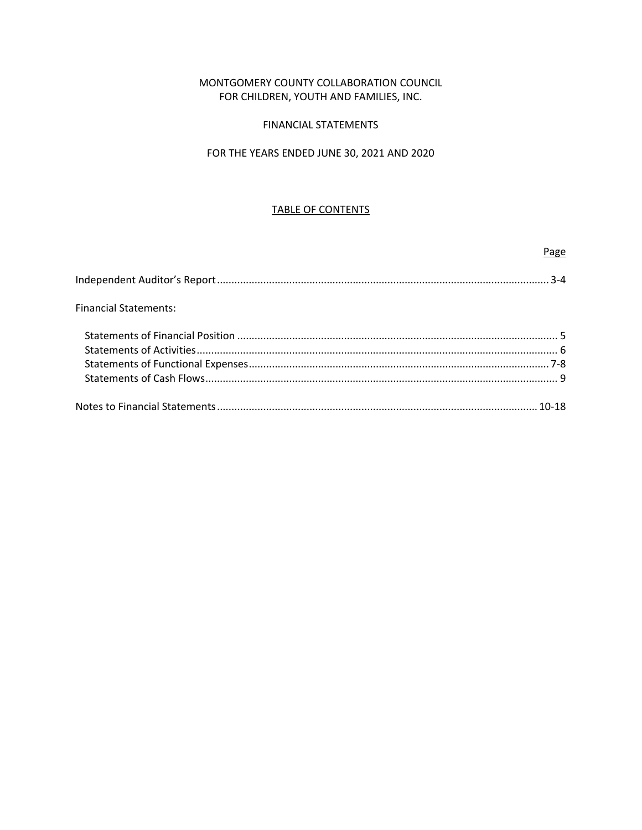# MONTGOMERY COUNTY COLLABORATION COUNCIL FOR CHILDREN, YOUTH AND FAMILIES, INC.

## FINANCIAL STATEMENTS

## FOR THE YEARS ENDED JUNE 30, 2021 AND 2020

# TABLE OF CONTENTS

|                              | Page |
|------------------------------|------|
|                              |      |
| <b>Financial Statements:</b> |      |
|                              |      |
|                              |      |
|                              |      |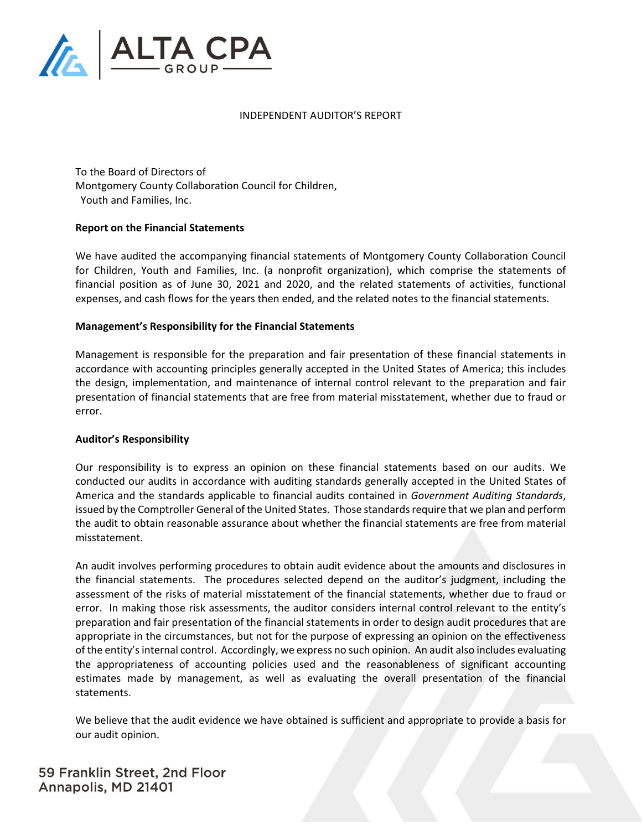

## INDEPENDENT AUDITOR'S REPORT

To the Board of Directors of Montgomery County Collaboration Council for Children, Youth and Families, Inc.

## **Report on the Financial Statements**

We have audited the accompanying financial statements of Montgomery County Collaboration Council for Children, Youth and Families, Inc. (a nonprofit organization), which comprise the statements of financial position as of June 30, 2021 and 2020, and the related statements of activities, functional expenses, and cash flows for the years then ended, and the related notes to the financial statements.

## **Management's Responsibility for the Financial Statements**

Management is responsible for the preparation and fair presentation of these financial statements in accordance with accounting principles generally accepted in the United States of America; this includes the design, implementation, and maintenance of internal control relevant to the preparation and fair presentation of financial statements that are free from material misstatement, whether due to fraud or error.

#### **Auditor's Responsibility**

Our responsibility is to express an opinion on these financial statements based on our audits. We conducted our audits in accordance with auditing standards generally accepted in the United States of America and the standards applicable to financial audits contained in *Government Auditing Standards*, issued by the Comptroller General of the United States. Those standards require that we plan and perform the audit to obtain reasonable assurance about whether the financial statements are free from material misstatement.

An audit involves performing procedures to obtain audit evidence about the amounts and disclosures in the financial statements. The procedures selected depend on the auditor's judgment, including the assessment of the risks of material misstatement of the financial statements, whether due to fraud or error. In making those risk assessments, the auditor considers internal control relevant to the entity's preparation and fair presentation of the financial statements in order to design audit procedures that are appropriate in the circumstances, but not for the purpose of expressing an opinion on the effectiveness of the entity'sinternal control. Accordingly, we express no such opinion. An audit also includes evaluating the appropriateness of accounting policies used and the reasonableness of significant accounting estimates made by management, as well as evaluating the overall presentation of the financial statements.

We believe that the audit evidence we have obtained is sufficient and appropriate to provide a basis for our audit opinion.

59 Franklin Street, 2nd Floor Annapolis, MD 21401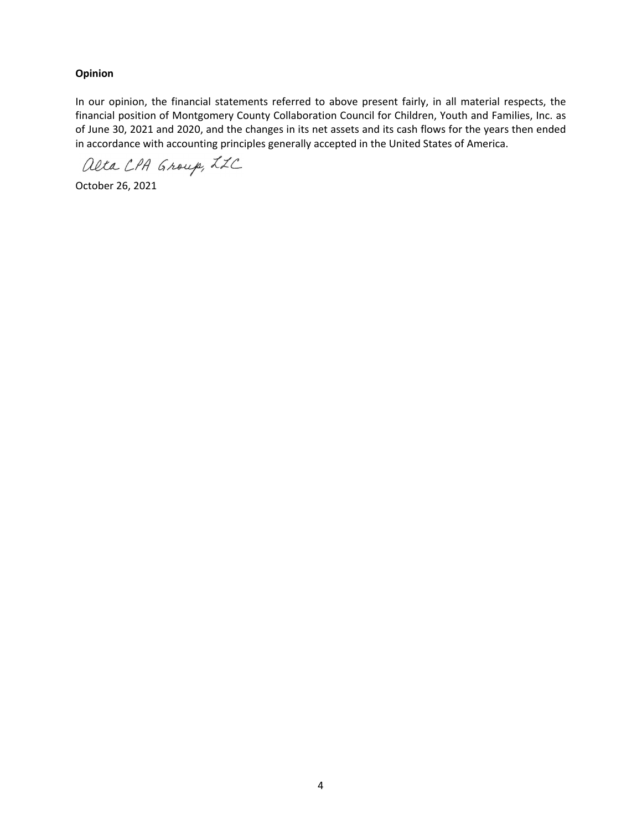## **Opinion**

In our opinion, the financial statements referred to above present fairly, in all material respects, the financial position of Montgomery County Collaboration Council for Children, Youth and Families, Inc. as of June 30, 2021 and 2020, and the changes in its net assets and its cash flows for the years then ended in accordance with accounting principles generally accepted in the United States of America.

alta CPA Group, LLC

October 26, 2021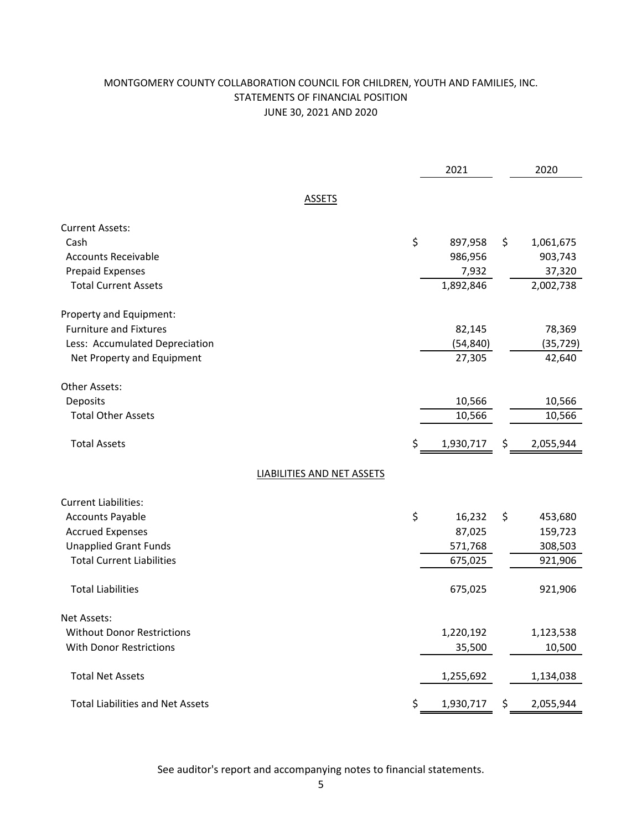# MONTGOMERY COUNTY COLLABORATION COUNCIL FOR CHILDREN, YOUTH AND FAMILIES, INC. STATEMENTS OF FINANCIAL POSITION JUNE 30, 2021 AND 2020

|                                         |    | 2021      |     | 2020      |
|-----------------------------------------|----|-----------|-----|-----------|
| <b>ASSETS</b>                           |    |           |     |           |
| <b>Current Assets:</b>                  |    |           |     |           |
| Cash                                    | \$ | 897,958   | \$  | 1,061,675 |
| <b>Accounts Receivable</b>              |    | 986,956   |     | 903,743   |
| <b>Prepaid Expenses</b>                 |    | 7,932     |     | 37,320    |
| <b>Total Current Assets</b>             |    | 1,892,846 |     | 2,002,738 |
| Property and Equipment:                 |    |           |     |           |
| <b>Furniture and Fixtures</b>           |    | 82,145    |     | 78,369    |
| Less: Accumulated Depreciation          |    | (54, 840) |     | (35, 729) |
| Net Property and Equipment              |    | 27,305    |     | 42,640    |
| Other Assets:                           |    |           |     |           |
| Deposits                                |    | 10,566    |     | 10,566    |
| <b>Total Other Assets</b>               |    | 10,566    |     | 10,566    |
| <b>Total Assets</b>                     | Ş  | 1,930,717 | \$. | 2,055,944 |
| LIABILITIES AND NET ASSETS              |    |           |     |           |
| <b>Current Liabilities:</b>             |    |           |     |           |
| <b>Accounts Payable</b>                 | \$ | 16,232    | \$  | 453,680   |
| <b>Accrued Expenses</b>                 |    | 87,025    |     | 159,723   |
| <b>Unapplied Grant Funds</b>            |    | 571,768   |     | 308,503   |
| <b>Total Current Liabilities</b>        |    | 675,025   |     | 921,906   |
| <b>Total Liabilities</b>                |    | 675,025   |     | 921,906   |
| Net Assets:                             |    |           |     |           |
| <b>Without Donor Restrictions</b>       |    | 1,220,192 |     | 1,123,538 |
| <b>With Donor Restrictions</b>          |    | 35,500    |     | 10,500    |
| <b>Total Net Assets</b>                 |    | 1,255,692 |     | 1,134,038 |
| <b>Total Liabilities and Net Assets</b> | \$ | 1,930,717 | \$  | 2,055,944 |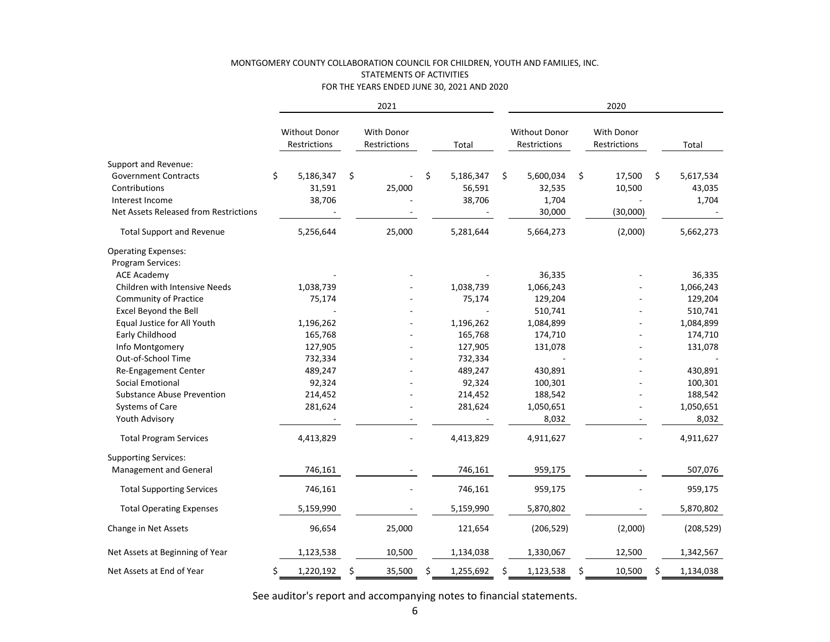#### MONTGOMERY COUNTY COLLABORATION COUNCIL FOR CHILDREN, YOUTH AND FAMILIES, INC. STATEMENTS OF ACTIVITIES FOR THE YEARS ENDED JUNE 30, 2021 AND 2020

|                                       | 2021                                 |    |                                   |    |           | 2020                                 |    |                                   |    |            |  |  |
|---------------------------------------|--------------------------------------|----|-----------------------------------|----|-----------|--------------------------------------|----|-----------------------------------|----|------------|--|--|
|                                       | <b>Without Donor</b><br>Restrictions |    | <b>With Donor</b><br>Restrictions |    | Total     | <b>Without Donor</b><br>Restrictions |    | <b>With Donor</b><br>Restrictions |    | Total      |  |  |
| Support and Revenue:                  |                                      |    |                                   |    |           |                                      |    |                                   |    |            |  |  |
| <b>Government Contracts</b>           | \$<br>5,186,347                      | \$ |                                   | \$ | 5,186,347 | \$<br>5,600,034                      | \$ | 17,500                            | \$ | 5,617,534  |  |  |
| Contributions                         | 31,591                               |    | 25,000                            |    | 56,591    | 32,535                               |    | 10,500                            |    | 43,035     |  |  |
| Interest Income                       | 38,706                               |    |                                   |    | 38,706    | 1,704                                |    |                                   |    | 1,704      |  |  |
| Net Assets Released from Restrictions |                                      |    |                                   |    |           | 30,000                               |    | (30,000)                          |    |            |  |  |
| <b>Total Support and Revenue</b>      | 5,256,644                            |    | 25,000                            |    | 5,281,644 | 5,664,273                            |    | (2,000)                           |    | 5,662,273  |  |  |
| <b>Operating Expenses:</b>            |                                      |    |                                   |    |           |                                      |    |                                   |    |            |  |  |
| Program Services:                     |                                      |    |                                   |    |           |                                      |    |                                   |    |            |  |  |
| <b>ACE Academy</b>                    |                                      |    |                                   |    |           | 36,335                               |    |                                   |    | 36,335     |  |  |
| Children with Intensive Needs         | 1,038,739                            |    |                                   |    | 1,038,739 | 1,066,243                            |    |                                   |    | 1,066,243  |  |  |
| <b>Community of Practice</b>          | 75,174                               |    |                                   |    | 75,174    | 129,204                              |    |                                   |    | 129,204    |  |  |
| Excel Beyond the Bell                 |                                      |    |                                   |    |           | 510,741                              |    |                                   |    | 510,741    |  |  |
| Equal Justice for All Youth           | 1,196,262                            |    |                                   |    | 1,196,262 | 1,084,899                            |    |                                   |    | 1,084,899  |  |  |
| Early Childhood                       | 165,768                              |    |                                   |    | 165,768   | 174,710                              |    |                                   |    | 174,710    |  |  |
| Info Montgomery                       | 127,905                              |    |                                   |    | 127,905   | 131,078                              |    |                                   |    | 131,078    |  |  |
| Out-of-School Time                    | 732,334                              |    |                                   |    | 732,334   |                                      |    |                                   |    |            |  |  |
| Re-Engagement Center                  | 489,247                              |    |                                   |    | 489,247   | 430,891                              |    |                                   |    | 430,891    |  |  |
| Social Emotional                      | 92,324                               |    |                                   |    | 92,324    | 100,301                              |    |                                   |    | 100,301    |  |  |
| <b>Substance Abuse Prevention</b>     | 214,452                              |    |                                   |    | 214,452   | 188,542                              |    |                                   |    | 188,542    |  |  |
| Systems of Care                       | 281,624                              |    |                                   |    | 281,624   | 1,050,651                            |    |                                   |    | 1,050,651  |  |  |
| Youth Advisory                        |                                      |    |                                   |    |           | 8,032                                |    |                                   |    | 8,032      |  |  |
| <b>Total Program Services</b>         | 4,413,829                            |    |                                   |    | 4,413,829 | 4,911,627                            |    |                                   |    | 4,911,627  |  |  |
| <b>Supporting Services:</b>           |                                      |    |                                   |    |           |                                      |    |                                   |    |            |  |  |
| <b>Management and General</b>         | 746,161                              |    |                                   |    | 746,161   | 959,175                              |    |                                   |    | 507,076    |  |  |
| <b>Total Supporting Services</b>      | 746,161                              |    |                                   |    | 746,161   | 959,175                              |    |                                   |    | 959,175    |  |  |
| <b>Total Operating Expenses</b>       | 5,159,990                            |    |                                   |    | 5,159,990 | 5,870,802                            |    |                                   |    | 5,870,802  |  |  |
| Change in Net Assets                  | 96,654                               |    | 25,000                            |    | 121,654   | (206, 529)                           |    | (2,000)                           |    | (208, 529) |  |  |
| Net Assets at Beginning of Year       | 1,123,538                            |    | 10,500                            |    | 1,134,038 | 1,330,067                            |    | 12,500                            |    | 1,342,567  |  |  |
| Net Assets at End of Year             | \$<br>1,220,192                      | \$ | 35,500                            | \$ | 1,255,692 | \$<br>1,123,538                      | \$ | 10,500                            | \$ | 1,134,038  |  |  |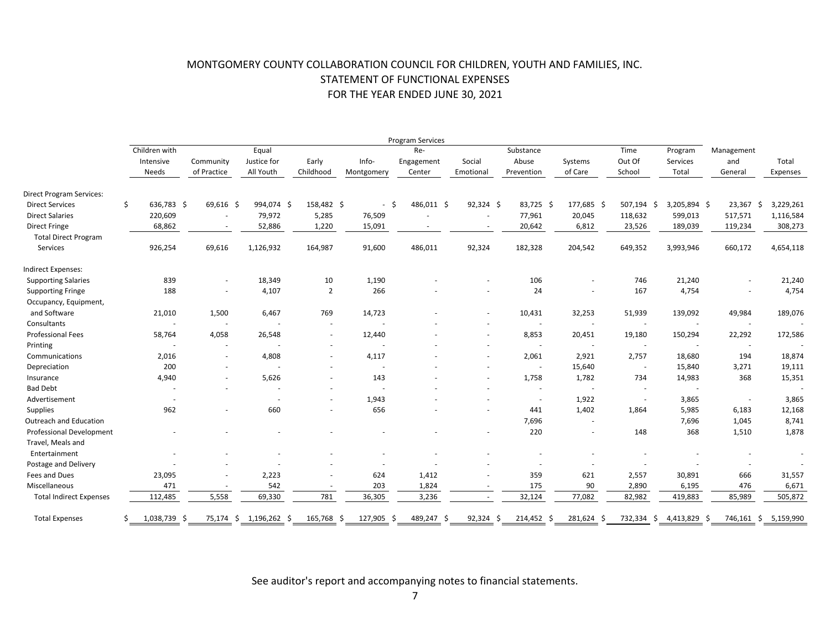# MONTGOMERY COUNTY COLLABORATION COUNCIL FOR CHILDREN, YOUTH AND FAMILIES, INC. STATEMENT OF FUNCTIONAL EXPENSES FOR THE YEAR ENDED JUNE 30, 2021

|                                 |                            |                              |                          |                          |                          | <b>Program Services</b> |                          |                          |                          |                          |                          |                     |                          |     |                      |
|---------------------------------|----------------------------|------------------------------|--------------------------|--------------------------|--------------------------|-------------------------|--------------------------|--------------------------|--------------------------|--------------------------|--------------------------|---------------------|--------------------------|-----|----------------------|
|                                 | Children with<br>Intensive | Community                    | Equal<br>Justice for     | Early                    | Info-                    | Re-<br>Engagement       |                          | Social                   | Substance<br>Abuse       | Systems                  | Time<br>Out Of           | Program<br>Services | Management<br>and        |     | Total                |
|                                 | Needs                      | of Practice                  | All Youth                | Childhood                | Montgomery               | Center                  |                          | Emotional                | Prevention               | of Care                  | School                   | Total               | General                  |     | Expenses             |
| <b>Direct Program Services:</b> |                            |                              |                          |                          |                          |                         |                          |                          |                          |                          |                          |                     |                          |     |                      |
| <b>Direct Services</b>          | \$<br>636,783 \$           | 69,616 \$                    | 994,074 \$               | 158,482 \$               | $\sim$                   | Ŝ.                      | 486,011 \$               | $92,324$ \$              | 83,725 \$                | 177,685 \$               | 507,194<br>- Ś           | 3,205,894 \$        | 23,367                   | - Ś | 3,229,261            |
| <b>Direct Salaries</b>          | 220,609                    | $\sim$                       | 79,972                   | 5,285                    | 76,509                   |                         |                          |                          | 77,961                   | 20,045                   | 118,632                  | 599,013             | 517,571                  |     | 1,116,584            |
| <b>Direct Fringe</b>            | 68,862                     | $\overline{\phantom{a}}$     | 52,886                   | 1,220                    | 15,091                   |                         | $\overline{\phantom{a}}$ | $\sim$                   | 20,642                   | 6,812                    | 23,526                   | 189,039             | 119,234                  |     | 308,273              |
| <b>Total Direct Program</b>     |                            |                              |                          |                          |                          |                         |                          |                          |                          |                          |                          |                     |                          |     |                      |
| Services                        | 926,254                    | 69,616                       | 1,126,932                | 164,987                  | 91,600                   |                         | 486,011                  | 92,324                   | 182,328                  | 204,542                  | 649,352                  | 3,993,946           | 660,172                  |     | 4,654,118            |
| <b>Indirect Expenses:</b>       |                            |                              |                          |                          |                          |                         |                          |                          |                          |                          |                          |                     |                          |     |                      |
| <b>Supporting Salaries</b>      | 839                        | $\overline{\phantom{a}}$     | 18,349                   | 10                       | 1,190                    |                         |                          |                          | 106                      |                          | 746                      | 21,240              |                          |     | 21,240               |
| <b>Supporting Fringe</b>        | 188                        | $\sim$                       | 4,107                    | $\overline{2}$           | 266                      |                         |                          |                          | 24                       |                          | 167                      | 4,754               |                          |     | 4,754                |
| Occupancy, Equipment,           |                            |                              |                          |                          |                          |                         |                          |                          |                          |                          |                          |                     |                          |     |                      |
| and Software                    | 21,010                     | 1,500                        | 6,467                    | 769                      | 14,723                   |                         |                          |                          | 10,431                   | 32,253                   | 51,939                   | 139,092             | 49,984                   |     | 189,076              |
| Consultants                     | $\overline{a}$             | $\overline{\phantom{a}}$     |                          | $\overline{\phantom{a}}$ |                          |                         |                          |                          | $\overline{\phantom{a}}$ | $\sim$                   | $\overline{\phantom{a}}$ |                     | $\overline{\phantom{a}}$ |     |                      |
| <b>Professional Fees</b>        | 58,764                     | 4,058                        | 26,548                   |                          | 12,440                   |                         |                          |                          | 8,853                    | 20,451                   | 19,180                   | 150,294             | 22,292                   |     | 172,586              |
| Printing                        | $\overline{\phantom{a}}$   | $\overline{\phantom{a}}$     |                          | ٠                        |                          |                         |                          |                          | $\sim$                   | $\overline{\phantom{a}}$ | $\overline{\phantom{a}}$ |                     | $\overline{\phantom{a}}$ |     |                      |
| Communications                  | 2,016                      | $\qquad \qquad \blacksquare$ | 4,808                    | $\sim$                   | 4,117                    |                         |                          | $\overline{\phantom{m}}$ | 2,061                    | 2,921                    | 2,757                    | 18,680              | 194                      |     | 18,874               |
| Depreciation                    | 200                        | $\sim$                       | $\overline{\phantom{a}}$ | $\sim$                   | $\sim$                   |                         |                          | ٠                        | ÷.                       | 15,640                   | $\overline{\phantom{a}}$ | 15,840              | 3,271                    |     | 19,111               |
| Insurance                       | 4,940                      | $\sim$                       | 5,626                    |                          | 143                      |                         |                          | $\sim$                   | 1,758                    | 1,782                    | 734                      | 14,983              | 368                      |     | 15,351               |
| <b>Bad Debt</b>                 | ۰.                         |                              | $\overline{\phantom{a}}$ |                          | $\overline{\phantom{a}}$ |                         |                          |                          | ÷.                       | ÷.                       | ÷.                       |                     |                          |     |                      |
| Advertisement                   | $\overline{\phantom{a}}$   |                              | $\overline{\phantom{a}}$ | $\sim$                   | 1,943                    |                         |                          |                          | $\sim$                   | 1,922                    | ÷.                       | 3,865               | ÷.                       |     | 3,865                |
| <b>Supplies</b>                 | 962                        |                              | 660                      |                          | 656                      |                         |                          |                          | 441                      | 1,402                    | 1,864                    | 5,985               | 6,183                    |     | 12,168               |
| Outreach and Education          |                            |                              |                          |                          |                          |                         |                          |                          | 7,696                    | $\sim$                   |                          | 7,696               | 1,045                    |     | 8,741                |
| Professional Development        |                            |                              |                          |                          |                          |                         |                          |                          | 220                      | $\sim$                   | 148                      | 368                 | 1,510                    |     | 1,878                |
| Travel, Meals and               |                            |                              |                          |                          |                          |                         |                          |                          |                          |                          |                          |                     |                          |     |                      |
| Entertainment                   |                            |                              |                          |                          |                          |                         |                          |                          |                          |                          |                          |                     |                          |     |                      |
| Postage and Delivery            |                            |                              |                          |                          |                          |                         |                          |                          |                          |                          |                          |                     |                          |     |                      |
| Fees and Dues                   | 23,095                     |                              | 2,223                    |                          | 624                      |                         | 1,412                    |                          | 359                      | 621                      | 2,557                    | 30,891              | 666                      |     | 31,557               |
| Miscellaneous                   | 471                        |                              | 542                      |                          | 203                      |                         | 1,824                    |                          | 175                      | 90                       | 2,890                    | 6,195               | 476                      |     | 6,671                |
| <b>Total Indirect Expenses</b>  | 112,485                    | 5,558                        | 69,330                   | 781                      | 36,305                   |                         | 3,236                    |                          | 32,124                   | 77,082                   | 82,982                   | 419,883             | 85,989                   |     | 505,872              |
| <b>Total Expenses</b>           | 1,038,739<br>- \$          | 75,174 \$                    | 1,196,262 \$             | 165,768                  | 127,905<br>-S            | -\$                     | 489,247<br>-\$           | $92,324$ \$              | $214,452$ \$             | 281,624 \$               | 732,334<br>S.            | 4,413,829 \$        |                          |     | 746,161 \$ 5,159,990 |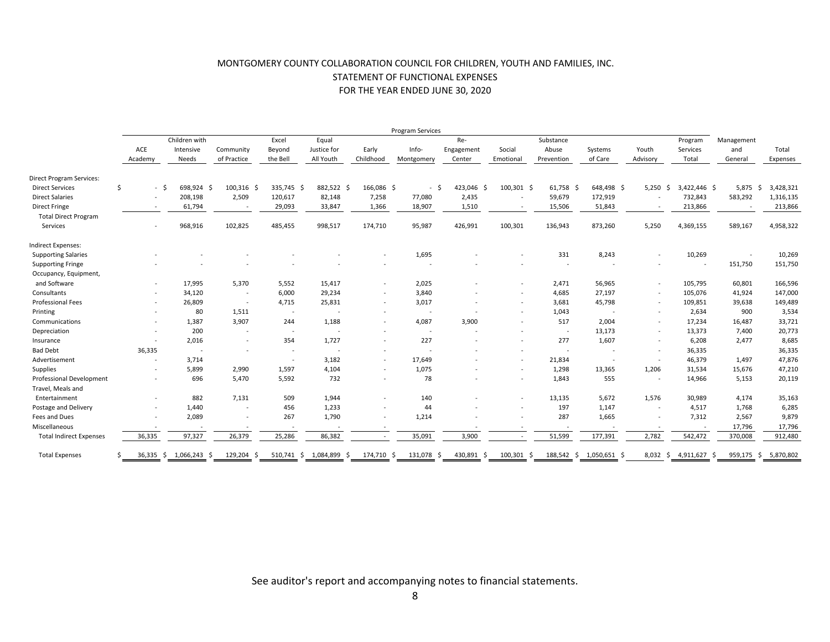#### MONTGOMERY COUNTY COLLABORATION COUNCIL FOR CHILDREN, YOUTH AND FAMILIES, INC. STATEMENT OF FUNCTIONAL EXPENSES FOR THE YEAR ENDED JUNE 30, 2020

|                                 |                          |                        |                          |                          |                         |                          | <b>Program Services</b>  |                          |                       |                          |                          |                          |                    |              |                      |
|---------------------------------|--------------------------|------------------------|--------------------------|--------------------------|-------------------------|--------------------------|--------------------------|--------------------------|-----------------------|--------------------------|--------------------------|--------------------------|--------------------|--------------|----------------------|
|                                 |                          | Children with          |                          | Excel                    | Equal                   |                          |                          | Re-                      |                       | Substance                |                          |                          | Program            | Management   |                      |
|                                 | ACE                      | Intensive              | Community                | Beyond                   | Justice for             | Early                    | Info-                    | Engagement               | Social                | Abuse                    | Systems                  | Youth                    | Services           | and          | Total                |
|                                 | Academy                  | Needs                  | of Practice              | the Bell                 | All Youth               | Childhood                | Montgomery               | Center                   | Emotional             | Prevention               | of Care                  | Advisory                 | Total              | General      | Expenses             |
| Direct Program Services:        |                          |                        |                          |                          |                         |                          |                          |                          |                       |                          |                          |                          |                    |              |                      |
| <b>Direct Services</b>          | \$<br>- \$               | 698,924<br>- Ś         | 100,316 \$               | 335,745 \$               | 882,522 \$              | 166,086 \$               | - \$                     | 423,046 \$               | $100,301$ \$          | $61,758$ \$              | 648,498 \$               | 5,250                    | 3,422,446 \$<br>S. | 5,875<br>- Ś | 3,428,321            |
| <b>Direct Salaries</b>          |                          | 208,198                | 2,509                    | 120,617                  | 82,148                  | 7,258                    | 77,080                   | 2,435                    |                       | 59,679                   | 172,919                  |                          | 732,843            | 583,292      | 1,316,135            |
| <b>Direct Fringe</b>            | $\overline{\phantom{a}}$ | 61,794                 |                          | 29,093                   | 33,847                  | 1,366                    | 18,907                   | 1,510                    |                       | 15,506                   | 51,843                   |                          | 213,866            |              | 213,866              |
| <b>Total Direct Program</b>     |                          |                        |                          |                          |                         |                          |                          |                          |                       |                          |                          |                          |                    |              |                      |
| Services                        |                          | 968,916                | 102,825                  | 485,455                  | 998,517                 | 174,710                  | 95,987                   | 426,991                  | 100,301               | 136,943                  | 873,260                  | 5,250                    | 4,369,155          | 589,167      | 4,958,322            |
| Indirect Expenses:              |                          |                        |                          |                          |                         |                          |                          |                          |                       |                          |                          |                          |                    |              |                      |
| <b>Supporting Salaries</b>      |                          |                        |                          |                          |                         |                          | 1,695                    |                          |                       | 331                      | 8,243                    |                          | 10,269             |              | 10,269               |
| <b>Supporting Fringe</b>        |                          |                        |                          |                          |                         | $\overline{\phantom{a}}$ |                          |                          |                       | $\sim$                   | $\overline{\phantom{a}}$ |                          | $\sim$             | 151,750      | 151,750              |
| Occupancy, Equipment,           |                          |                        |                          |                          |                         |                          |                          |                          |                       |                          |                          |                          |                    |              |                      |
| and Software                    | $\overline{\phantom{a}}$ | 17,995                 | 5,370                    | 5,552                    | 15,417                  | $\overline{\phantom{a}}$ | 2,025                    |                          |                       | 2,471                    | 56,965                   | $\overline{\phantom{a}}$ | 105,795            | 60,801       | 166,596              |
| Consultants                     |                          | 34,120                 | $\overline{\phantom{a}}$ | 6,000                    | 29,234                  | $\overline{\phantom{a}}$ | 3,840                    |                          |                       | 4,685                    | 27,197                   | $\sim$                   | 105,076            | 41,924       | 147,000              |
| <b>Professional Fees</b>        |                          | 26,809                 | $\overline{\phantom{a}}$ | 4,715                    | 25,831                  | $\overline{\phantom{a}}$ | 3,017                    |                          |                       | 3,681                    | 45,798                   | $\sim$                   | 109,851            | 39,638       | 149,489              |
| Printing                        |                          | 80                     | 1,511                    | $\sim$                   |                         | $\overline{\phantom{a}}$ |                          | $\sim$                   |                       | 1,043                    | ч.                       | $\overline{\phantom{a}}$ | 2,634              | 900          | 3,534                |
| Communications                  |                          | 1,387                  | 3,907                    | 244                      | 1,188                   | $\overline{\phantom{a}}$ | 4,087                    | 3,900                    |                       | 517                      | 2,004                    | $\overline{\phantom{a}}$ | 17,234             | 16,487       | 33,721               |
| Depreciation                    | $\overline{\phantom{a}}$ | 200                    | $\overline{\phantom{a}}$ | $\sim$                   |                         | $\overline{\phantom{a}}$ | $\overline{\phantom{a}}$ | $\overline{\phantom{a}}$ |                       | $\overline{\phantom{a}}$ | 13,173                   | $\overline{\phantom{a}}$ | 13,373             | 7,400        | 20,773               |
| Insurance                       |                          | 2,016                  | $\sim$                   | 354                      | 1,727                   | $\overline{\phantom{a}}$ | 227                      | ٠                        |                       | 277                      | 1,607                    | $\overline{\phantom{a}}$ | 6,208              | 2,477        | 8,685                |
| <b>Bad Debt</b>                 | 36,335                   | $\sim$                 | $\overline{\phantom{a}}$ | $\overline{\phantom{a}}$ |                         | $\overline{\phantom{a}}$ |                          |                          |                       | $\sim$                   | $\overline{\phantom{a}}$ | $\sim$                   | 36,335             |              | 36,335               |
| Advertisement                   |                          | 3,714                  |                          | $\overline{\phantom{a}}$ | 3,182                   | $\overline{\phantom{a}}$ | 17,649                   |                          |                       | 21,834                   |                          | $\overline{\phantom{a}}$ | 46,379             | 1,497        | 47,876               |
| Supplies                        |                          | 5,899                  | 2,990                    | 1,597                    | 4,104                   | $\sim$                   | 1,075                    |                          |                       | 1,298                    | 13,365                   | 1,206                    | 31,534             | 15,676       | 47,210               |
| <b>Professional Development</b> |                          | 696                    | 5,470                    | 5,592                    | 732                     | $\overline{\phantom{a}}$ | 78                       |                          |                       | 1,843                    | 555                      | $\overline{\phantom{a}}$ | 14,966             | 5,153        | 20,119               |
| Travel, Meals and               |                          |                        |                          |                          |                         |                          |                          |                          |                       |                          |                          |                          |                    |              |                      |
| Entertainment                   |                          | 882                    | 7,131                    | 509                      | 1,944                   | $\overline{\phantom{a}}$ | 140                      |                          |                       | 13,135                   | 5,672                    | 1,576                    | 30,989             | 4,174        | 35,163               |
| Postage and Delivery            |                          | 1,440                  | $\sim$                   | 456                      | 1,233                   | $\overline{\phantom{a}}$ | 44                       |                          |                       | 197                      | 1,147                    | $\overline{\phantom{a}}$ | 4,517              | 1,768        | 6,285                |
| Fees and Dues                   |                          | 2,089                  | $\sim$                   | 267                      | 1,790                   | $\overline{\phantom{a}}$ | 1,214                    |                          |                       | 287                      | 1,665                    | $\overline{\phantom{a}}$ | 7,312              | 2,567        | 9,879                |
| Miscellaneous                   |                          |                        |                          | $\overline{\phantom{a}}$ |                         | $\overline{\phantom{a}}$ |                          |                          |                       | $\overline{\phantom{a}}$ |                          |                          |                    | 17,796       | 17,796               |
| <b>Total Indirect Expenses</b>  | 36,335                   | 97,327                 | 26,379                   | 25,286                   | 86,382                  | $\overline{\phantom{a}}$ | 35,091                   | 3,900                    |                       | 51,599                   | 177,391                  | 2,782                    | 542,472            | 370,008      | 912,480              |
| <b>Total Expenses</b>           | Ŝ                        | 36,335 \$ 1,066,243 \$ | 129,204 \$               |                          | 510,741 \$ 1,084,899 \$ | 174,710 \$               | 131,078 \$               | 430,891 \$               | $100,301 \text{ }$ \$ |                          | 188,542 \$ 1,050,651 \$  | $8,032 \quad $$          | 4,911,627 \$       |              | 959,175 \$ 5,870,802 |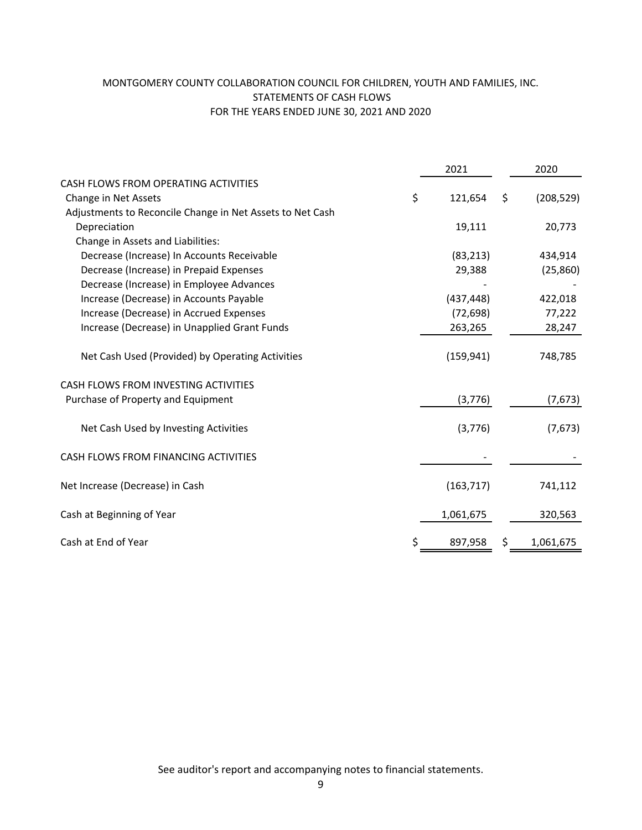# MONTGOMERY COUNTY COLLABORATION COUNCIL FOR CHILDREN, YOUTH AND FAMILIES, INC. STATEMENTS OF CASH FLOWS FOR THE YEARS ENDED JUNE 30, 2021 AND 2020

|                                                           | 2021          | 2020             |
|-----------------------------------------------------------|---------------|------------------|
| CASH FLOWS FROM OPERATING ACTIVITIES                      |               |                  |
| Change in Net Assets                                      | \$<br>121,654 | \$<br>(208, 529) |
| Adjustments to Reconcile Change in Net Assets to Net Cash |               |                  |
| Depreciation                                              | 19,111        | 20,773           |
| Change in Assets and Liabilities:                         |               |                  |
| Decrease (Increase) In Accounts Receivable                | (83, 213)     | 434,914          |
| Decrease (Increase) in Prepaid Expenses                   | 29,388        | (25, 860)        |
| Decrease (Increase) in Employee Advances                  |               |                  |
| Increase (Decrease) in Accounts Payable                   | (437, 448)    | 422,018          |
| Increase (Decrease) in Accrued Expenses                   | (72, 698)     | 77,222           |
| Increase (Decrease) in Unapplied Grant Funds              | 263,265       | 28,247           |
| Net Cash Used (Provided) by Operating Activities          | (159, 941)    | 748,785          |
| CASH FLOWS FROM INVESTING ACTIVITIES                      |               |                  |
| Purchase of Property and Equipment                        | (3,776)       | (7, 673)         |
| Net Cash Used by Investing Activities                     | (3,776)       | (7,673)          |
| CASH FLOWS FROM FINANCING ACTIVITIES                      |               |                  |
| Net Increase (Decrease) in Cash                           | (163, 717)    | 741,112          |
| Cash at Beginning of Year                                 | 1,061,675     | 320,563          |
| Cash at End of Year                                       | 897,958       | \$<br>1,061,675  |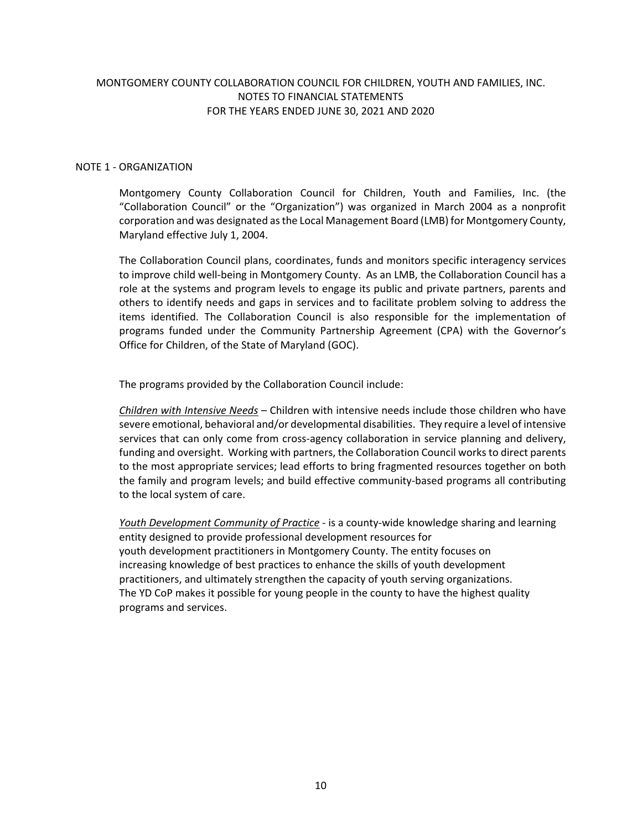## NOTE 1 ‐ ORGANIZATION

Montgomery County Collaboration Council for Children, Youth and Families, Inc. (the "Collaboration Council" or the "Organization") was organized in March 2004 as a nonprofit corporation and was designated asthe Local Management Board (LMB) for Montgomery County, Maryland effective July 1, 2004.

The Collaboration Council plans, coordinates, funds and monitors specific interagency services to improve child well-being in Montgomery County. As an LMB, the Collaboration Council has a role at the systems and program levels to engage its public and private partners, parents and others to identify needs and gaps in services and to facilitate problem solving to address the items identified. The Collaboration Council is also responsible for the implementation of programs funded under the Community Partnership Agreement (CPA) with the Governor's Office for Children, of the State of Maryland (GOC).

The programs provided by the Collaboration Council include:

*Children with Intensive Needs* – Children with intensive needs include those children who have severe emotional, behavioral and/or developmental disabilities. They require a level of intensive services that can only come from cross-agency collaboration in service planning and delivery, funding and oversight. Working with partners, the Collaboration Council works to direct parents to the most appropriate services; lead efforts to bring fragmented resources together on both the family and program levels; and build effective community‐based programs all contributing to the local system of care.

*Youth Development Community of Practice* ‐ is a county‐wide knowledge sharing and learning entity designed to provide professional development resources for youth development practitioners in Montgomery County. The entity focuses on increasing knowledge of best practices to enhance the skills of youth development practitioners, and ultimately strengthen the capacity of youth serving organizations. The YD CoP makes it possible for young people in the county to have the highest quality programs and services.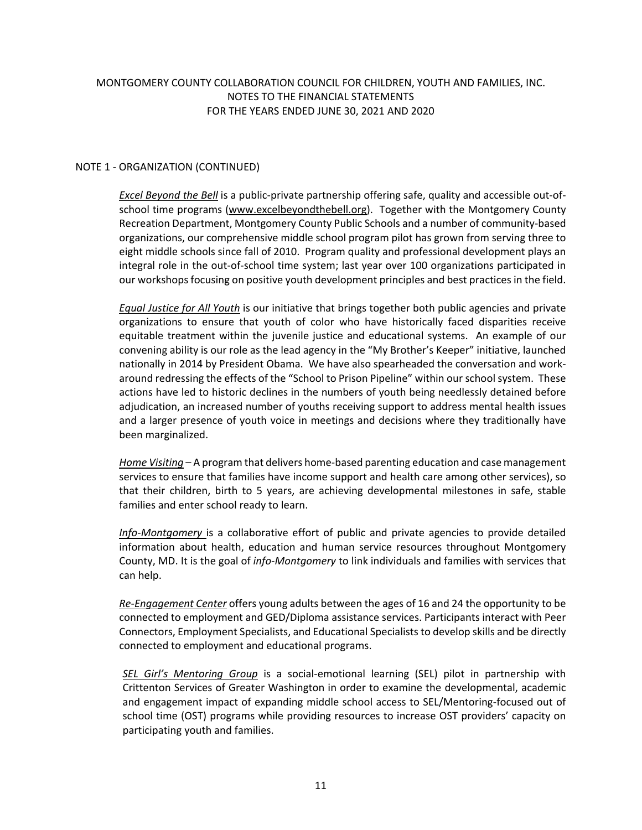## NOTE 1 ‐ ORGANIZATION (CONTINUED)

*Excel Beyond the Bell* is a public‐private partnership offering safe, quality and accessible out‐of‐ school time programs (www.excelbeyondthebell.org). Together with the Montgomery County Recreation Department, Montgomery County Public Schools and a number of community-based organizations, our comprehensive middle school program pilot has grown from serving three to eight middle schools since fall of 2010. Program quality and professional development plays an integral role in the out-of-school time system; last year over 100 organizations participated in our workshops focusing on positive youth development principles and best practices in the field.

*Equal Justice for All Youth* is our initiative that brings together both public agencies and private organizations to ensure that youth of color who have historically faced disparities receive equitable treatment within the juvenile justice and educational systems. An example of our convening ability is our role as the lead agency in the "My Brother's Keeper" initiative, launched nationally in 2014 by President Obama. We have also spearheaded the conversation and work‐ around redressing the effects of the "School to Prison Pipeline" within our school system. These actions have led to historic declines in the numbers of youth being needlessly detained before adjudication, an increased number of youths receiving support to address mental health issues and a larger presence of youth voice in meetings and decisions where they traditionally have been marginalized.

*Home Visiting* – A program that delivers home‐based parenting education and case management services to ensure that families have income support and health care among other services), so that their children, birth to 5 years, are achieving developmental milestones in safe, stable families and enter school ready to learn.

*Info‐Montgomery* is a collaborative effort of public and private agencies to provide detailed information about health, education and human service resources throughout Montgomery County, MD. It is the goal of *info‐Montgomery* to link individuals and families with services that can help.

*Re‐Engagement Center* offers young adults between the ages of 16 and 24 the opportunity to be connected to employment and GED/Diploma assistance services. Participants interact with Peer Connectors, Employment Specialists, and Educational Specialists to develop skills and be directly connected to employment and educational programs.

*SEL Girl's Mentoring Group* is a social‐emotional learning (SEL) pilot in partnership with Crittenton Services of Greater Washington in order to examine the developmental, academic and engagement impact of expanding middle school access to SEL/Mentoring-focused out of school time (OST) programs while providing resources to increase OST providers' capacity on participating youth and families.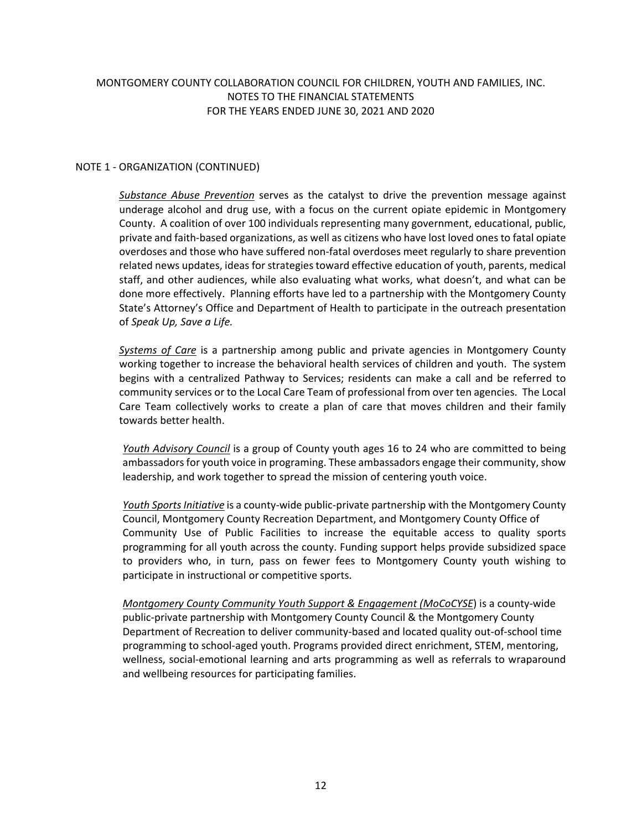## NOTE 1 ‐ ORGANIZATION (CONTINUED)

*Substance Abuse Prevention* serves as the catalyst to drive the prevention message against underage alcohol and drug use, with a focus on the current opiate epidemic in Montgomery County. A coalition of over 100 individuals representing many government, educational, public, private and faith‐based organizations, as well as citizens who have lost loved ones to fatal opiate overdoses and those who have suffered non‐fatal overdoses meet regularly to share prevention related news updates, ideas for strategies toward effective education of youth, parents, medical staff, and other audiences, while also evaluating what works, what doesn't, and what can be done more effectively. Planning efforts have led to a partnership with the Montgomery County State's Attorney's Office and Department of Health to participate in the outreach presentation of *Speak Up, Save a Life.*

*Systems of Care* is a partnership among public and private agencies in Montgomery County working together to increase the behavioral health services of children and youth. The system begins with a centralized Pathway to Services; residents can make a call and be referred to community services or to the Local Care Team of professional from over ten agencies. The Local Care Team collectively works to create a plan of care that moves children and their family towards better health.

*Youth Advisory Council* is a group of County youth ages 16 to 24 who are committed to being ambassadors for youth voice in programing. These ambassadors engage their community, show leadership, and work together to spread the mission of centering youth voice.

*Youth Sports Initiative* is a county-wide public-private partnership with the Montgomery County Council, Montgomery County Recreation Department, and Montgomery County Office of Community Use of Public Facilities to increase the equitable access to quality sports programming for all youth across the county. Funding support helps provide subsidized space to providers who, in turn, pass on fewer fees to Montgomery County youth wishing to participate in instructional or competitive sports.

*Montgomery County Community Youth Support & Engagement (MoCoCYSE*) is a county‐wide public‐private partnership with Montgomery County Council & the Montgomery County Department of Recreation to deliver community-based and located quality out-of-school time programming to school-aged youth. Programs provided direct enrichment, STEM, mentoring, wellness, social-emotional learning and arts programming as well as referrals to wraparound and wellbeing resources for participating families.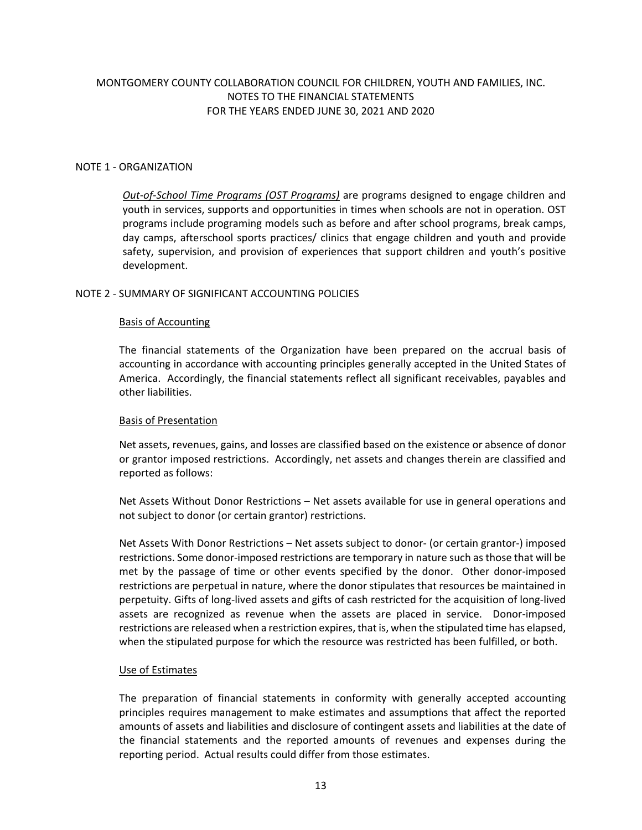## NOTE 1 ‐ ORGANIZATION

*Out‐of‐School Time Programs (OST Programs)* are programs designed to engage children and youth in services, supports and opportunities in times when schools are not in operation. OST programs include programing models such as before and after school programs, break camps, day camps, afterschool sports practices/ clinics that engage children and youth and provide safety, supervision, and provision of experiences that support children and youth's positive development.

## NOTE 2 ‐ SUMMARY OF SIGNIFICANT ACCOUNTING POLICIES

## Basis of Accounting

The financial statements of the Organization have been prepared on the accrual basis of accounting in accordance with accounting principles generally accepted in the United States of America. Accordingly, the financial statements reflect all significant receivables, payables and other liabilities.

#### Basis of Presentation

Net assets, revenues, gains, and losses are classified based on the existence or absence of donor or grantor imposed restrictions. Accordingly, net assets and changes therein are classified and reported as follows:

Net Assets Without Donor Restrictions – Net assets available for use in general operations and not subject to donor (or certain grantor) restrictions.

Net Assets With Donor Restrictions – Net assets subject to donor‐ (or certain grantor‐) imposed restrictions. Some donor-imposed restrictions are temporary in nature such as those that will be met by the passage of time or other events specified by the donor. Other donor‐imposed restrictions are perpetual in nature, where the donor stipulates that resources be maintained in perpetuity. Gifts of long‐lived assets and gifts of cash restricted for the acquisition of long‐lived assets are recognized as revenue when the assets are placed in service. Donor-imposed restrictions are released when a restriction expires, that is, when the stipulated time has elapsed, when the stipulated purpose for which the resource was restricted has been fulfilled, or both.

#### Use of Estimates

The preparation of financial statements in conformity with generally accepted accounting principles requires management to make estimates and assumptions that affect the reported amounts of assets and liabilities and disclosure of contingent assets and liabilities at the date of the financial statements and the reported amounts of revenues and expenses during the reporting period. Actual results could differ from those estimates.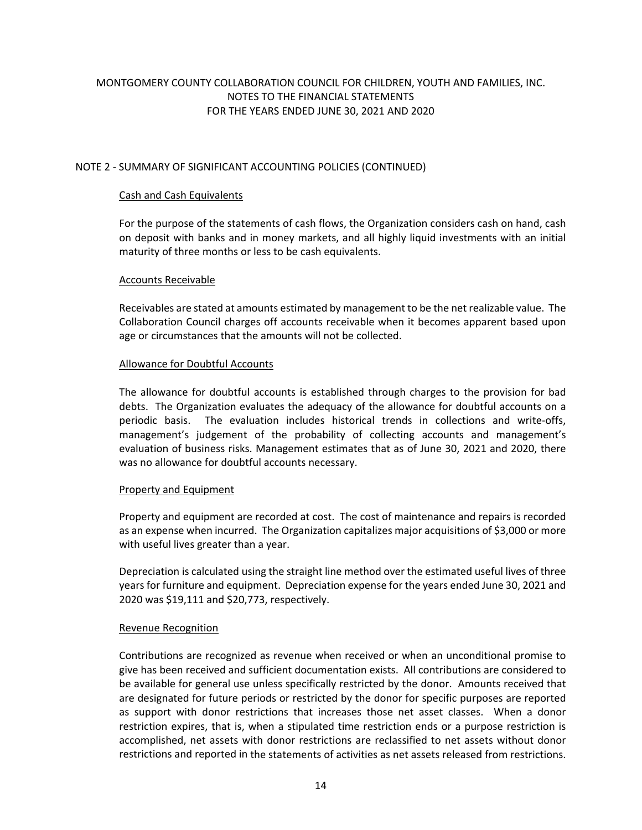## NOTE 2 ‐ SUMMARY OF SIGNIFICANT ACCOUNTING POLICIES (CONTINUED)

## Cash and Cash Equivalents

For the purpose of the statements of cash flows, the Organization considers cash on hand, cash on deposit with banks and in money markets, and all highly liquid investments with an initial maturity of three months or less to be cash equivalents.

## Accounts Receivable

Receivables are stated at amounts estimated by management to be the net realizable value. The Collaboration Council charges off accounts receivable when it becomes apparent based upon age or circumstances that the amounts will not be collected.

## Allowance for Doubtful Accounts

The allowance for doubtful accounts is established through charges to the provision for bad debts. The Organization evaluates the adequacy of the allowance for doubtful accounts on a periodic basis. The evaluation includes historical trends in collections and write-offs, management's judgement of the probability of collecting accounts and management's evaluation of business risks. Management estimates that as of June 30, 2021 and 2020, there was no allowance for doubtful accounts necessary.

## Property and Equipment

Property and equipment are recorded at cost. The cost of maintenance and repairs is recorded as an expense when incurred. The Organization capitalizes major acquisitions of \$3,000 or more with useful lives greater than a year.

Depreciation is calculated using the straight line method over the estimated useful lives of three years for furniture and equipment. Depreciation expense for the years ended June 30, 2021 and 2020 was \$19,111 and \$20,773, respectively.

## Revenue Recognition

Contributions are recognized as revenue when received or when an unconditional promise to give has been received and sufficient documentation exists. All contributions are considered to be available for general use unless specifically restricted by the donor. Amounts received that are designated for future periods or restricted by the donor for specific purposes are reported as support with donor restrictions that increases those net asset classes. When a donor restriction expires, that is, when a stipulated time restriction ends or a purpose restriction is accomplished, net assets with donor restrictions are reclassified to net assets without donor restrictions and reported in the statements of activities as net assets released from restrictions.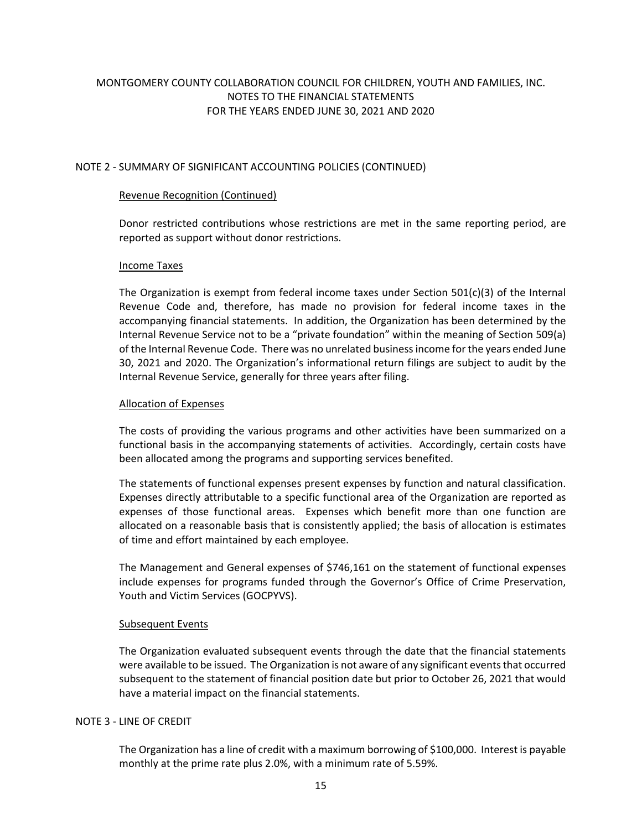## NOTE 2 ‐ SUMMARY OF SIGNIFICANT ACCOUNTING POLICIES (CONTINUED)

#### Revenue Recognition (Continued)

Donor restricted contributions whose restrictions are met in the same reporting period, are reported as support without donor restrictions.

#### Income Taxes

The Organization is exempt from federal income taxes under Section  $501(c)(3)$  of the Internal Revenue Code and, therefore, has made no provision for federal income taxes in the accompanying financial statements. In addition, the Organization has been determined by the Internal Revenue Service not to be a "private foundation" within the meaning of Section 509(a) of the Internal Revenue Code. There was no unrelated businessincome for the years ended June 30, 2021 and 2020. The Organization's informational return filings are subject to audit by the Internal Revenue Service, generally for three years after filing.

## Allocation of Expenses

The costs of providing the various programs and other activities have been summarized on a functional basis in the accompanying statements of activities. Accordingly, certain costs have been allocated among the programs and supporting services benefited.

The statements of functional expenses present expenses by function and natural classification. Expenses directly attributable to a specific functional area of the Organization are reported as expenses of those functional areas. Expenses which benefit more than one function are allocated on a reasonable basis that is consistently applied; the basis of allocation is estimates of time and effort maintained by each employee.

The Management and General expenses of \$746,161 on the statement of functional expenses include expenses for programs funded through the Governor's Office of Crime Preservation, Youth and Victim Services (GOCPYVS).

#### Subsequent Events

The Organization evaluated subsequent events through the date that the financial statements were available to be issued. The Organization is not aware of any significant events that occurred subsequent to the statement of financial position date but prior to October 26, 2021 that would have a material impact on the financial statements.

#### NOTE 3 ‐ LINE OF CREDIT

The Organization has a line of credit with a maximum borrowing of \$100,000. Interest is payable monthly at the prime rate plus 2.0%, with a minimum rate of 5.59%.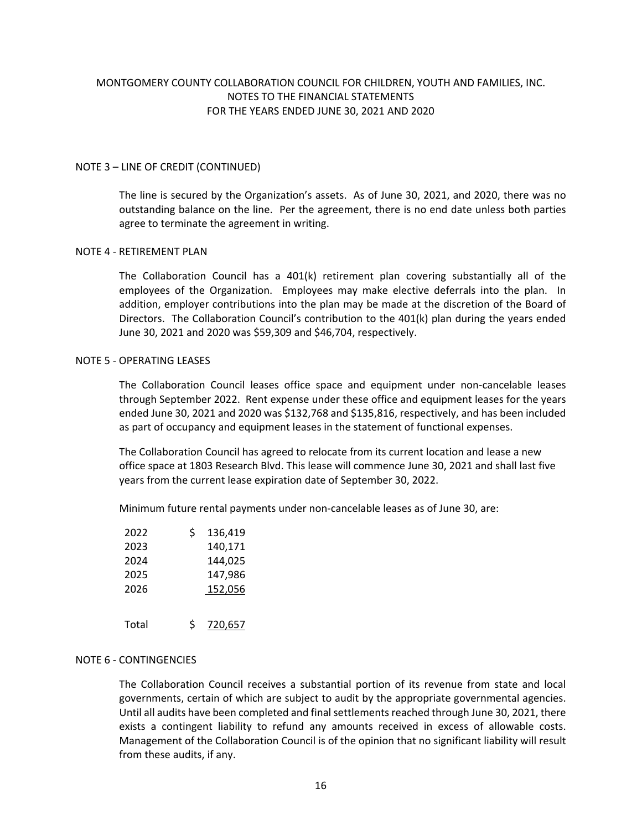#### NOTE 3 – LINE OF CREDIT (CONTINUED)

The line is secured by the Organization's assets. As of June 30, 2021, and 2020, there was no outstanding balance on the line. Per the agreement, there is no end date unless both parties agree to terminate the agreement in writing.

#### NOTE 4 ‐ RETIREMENT PLAN

The Collaboration Council has a 401(k) retirement plan covering substantially all of the employees of the Organization. Employees may make elective deferrals into the plan. In addition, employer contributions into the plan may be made at the discretion of the Board of Directors. The Collaboration Council's contribution to the 401(k) plan during the years ended June 30, 2021 and 2020 was \$59,309 and \$46,704, respectively.

## NOTE 5 ‐ OPERATING LEASES

The Collaboration Council leases office space and equipment under non‐cancelable leases through September 2022. Rent expense under these office and equipment leases for the years ended June 30, 2021 and 2020 was \$132,768 and \$135,816, respectively, and has been included as part of occupancy and equipment leases in the statement of functional expenses.

The Collaboration Council has agreed to relocate from its current location and lease a new office space at 1803 Research Blvd. This lease will commence June 30, 2021 and shall last five years from the current lease expiration date of September 30, 2022.

Minimum future rental payments under non‐cancelable leases as of June 30, are:

| 2022  | \$  | 136,419 |
|-------|-----|---------|
| 2023  |     | 140,171 |
| 2024  |     | 144,025 |
| 2025  |     | 147,986 |
| 2026  |     | 152,056 |
|       |     |         |
| Total | \$. | 720,657 |

#### NOTE 6 ‐ CONTINGENCIES

The Collaboration Council receives a substantial portion of its revenue from state and local governments, certain of which are subject to audit by the appropriate governmental agencies. Until all audits have been completed and final settlements reached through June 30, 2021, there exists a contingent liability to refund any amounts received in excess of allowable costs. Management of the Collaboration Council is of the opinion that no significant liability will result from these audits, if any.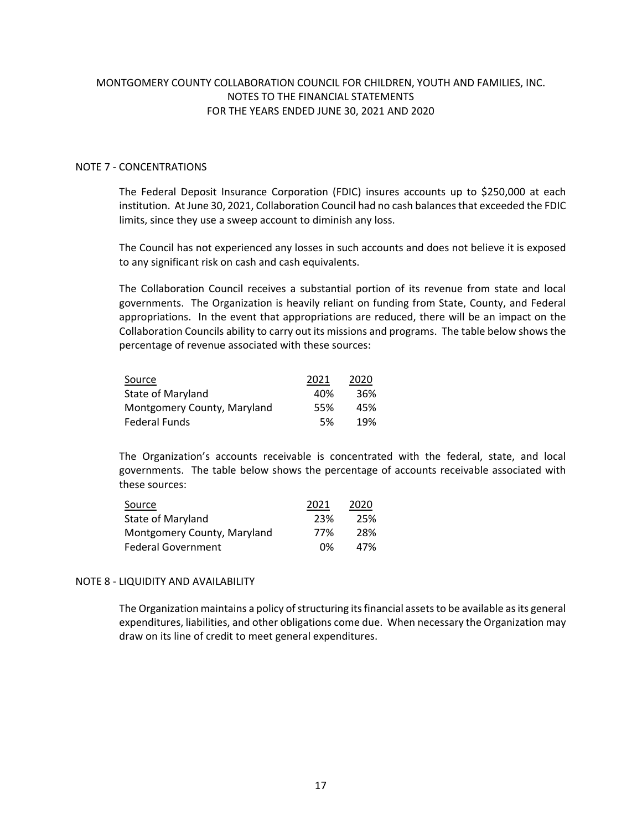## NOTE 7 ‐ CONCENTRATIONS

The Federal Deposit Insurance Corporation (FDIC) insures accounts up to \$250,000 at each institution. At June 30, 2021, Collaboration Council had no cash balances that exceeded the FDIC limits, since they use a sweep account to diminish any loss.

The Council has not experienced any losses in such accounts and does not believe it is exposed to any significant risk on cash and cash equivalents.

The Collaboration Council receives a substantial portion of its revenue from state and local governments. The Organization is heavily reliant on funding from State, County, and Federal appropriations. In the event that appropriations are reduced, there will be an impact on the Collaboration Councils ability to carry out its missions and programs. The table below shows the percentage of revenue associated with these sources:

| Source                      | 2021 | 2020 |
|-----------------------------|------|------|
| <b>State of Maryland</b>    | 40%  | 36%  |
| Montgomery County, Maryland | 55%  | 45%  |
| <b>Federal Funds</b>        | 5%   | 19%  |

The Organization's accounts receivable is concentrated with the federal, state, and local governments. The table below shows the percentage of accounts receivable associated with these sources:

| Source                      | 2021 | 2020 |
|-----------------------------|------|------|
| State of Maryland           | 23%  | 25%  |
| Montgomery County, Maryland | 77%  | 28%  |
| <b>Federal Government</b>   | በ%   | 47%  |

#### NOTE 8 ‐ LIQUIDITY AND AVAILABILITY

The Organization maintains a policy of structuring its financial assets to be available as its general expenditures, liabilities, and other obligations come due. When necessary the Organization may draw on its line of credit to meet general expenditures.